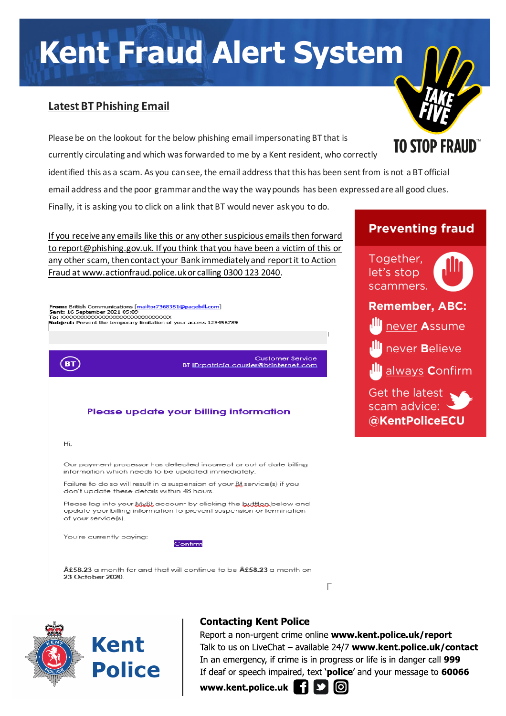# **Kent Fraud Alert System**

## **Latest BT Phishing Email**

Please be on the lookout for the below phishing email impersonating BT that is currently circulating and which was forwarded to me by a Kent resident, who correctly

identified this as a scam. As you can see, the email address that this has been sent from is not a BT official email address and the poor grammar and the way the way pounds has been expressed are all good clues.

Finally, it is asking you to click on a link that BT would never ask you to do.

If you receive any emails like this or any other suspicious emails then forward to report@phishing.gov.uk. If you think that you have been a victim of this or any other scam, then contact your Bank immediately and report it to Action Fraud at www.actionfraud.police.uk or calling 0300 123 2040.

From: British Communications [mailto:7368381@pagebill.com] Sent: 16 September 2021 05:09<br>To: XXXXXXXXXXXXXXXXXXXXXXXXXXXXXXXX Subject: Prevent the temporary limitation of your access 123456789

> **Customer Service** BT ID: patricia causier@btinternet.com

### Please update your billing information

Hî,

(вт)

Our payment processor has detected incorrect or out of date billing information which needs to be updated immediately.

Failure to do so will result in a suspension of your Bt service (s) if you don't update these details within 48 hours.

Please log into your My&t account by clicking the buttton below and update your billing information to prevent suspension or termination of your service(s).

You're currently paying:

Confirm

£58.23 a month for and that will continue to be £58.23 a month on 23 October 2020.



## **Contacting Kent Police**

Report a non-urgent crime online www.kent.police.uk/report Talk to us on LiveChat - available 24/7 www.kent.police.uk/contact In an emergency, if crime is in progress or life is in danger call 999 If deaf or speech impaired, text 'police' and your message to 60066

Г

www.kent.police.uk



## **Preventing fraud**

**TO STOP FRAUD** 

Together, let's stop scammers.



## **Remember, ABC:**

never Assume

never Believe

always **Confirm** 

Get the latest scam advice: \ @KentPoliceECU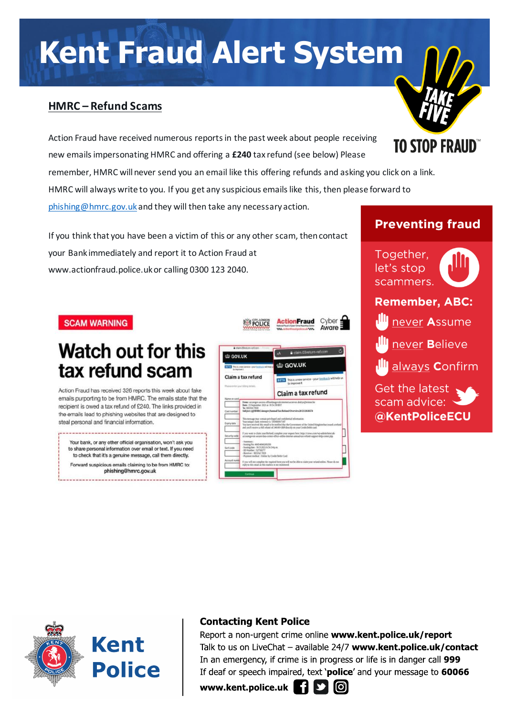# **Kent Fraud Alert System**

## **HMRC – Refund Scams**

Action Fraud have received numerous reports in the past week about people receiving new emails impersonating HMRC and offering a **£240** tax refund (see below) Please

remember, HMRC will never send you an email like this offering refunds and asking you click on a link. HMRC will always write to you. If you get any suspicious emails like this, then please forward to

[phishing@hmrc.gov.uk](mailto:phishing@hmrc.gov.uk) and they will then take any necessary action.

If you think that you have been a victim of this or any other scam, then contact your Bank immediately and report it to Action Fraud at www.actionfraud.police.uk or calling 0300 123 2040.

#### **SCAM WARNING**

# **Watch out for this** tax refund scam

Action Fraud has received 326 reports this week about fake emails purporting to be from HMRC. The emails state that the recipient is owed a tax refund of £240. The links provided in the emails lead to phishing websites that are designed to steal personal and financial information.

Your bank, or any other official organisation, won't ask you to share personal information over email or text. If you need to check that it's a genuine message, call them directly. Forward suspicious emails claiming to be from HMRC to: phishing@hmrc.gov.uk





**TO STOP FRAUD** 

Together, let's stop scammers. **Remember, ABC:** never Assume never Believe always Confirm Get the latest

scam advice: @KentPoliceECU

# Kent **Police**

## **Contacting Kent Police**

Report a non-urgent crime online www.kent.police.uk/report Talk to us on LiveChat - available 24/7 www.kent.police.uk/contact In an emergency, if crime is in progress or life is in danger call 999 If deaf or speech impaired, text 'police' and your message to 60066

www.kent.police.uk